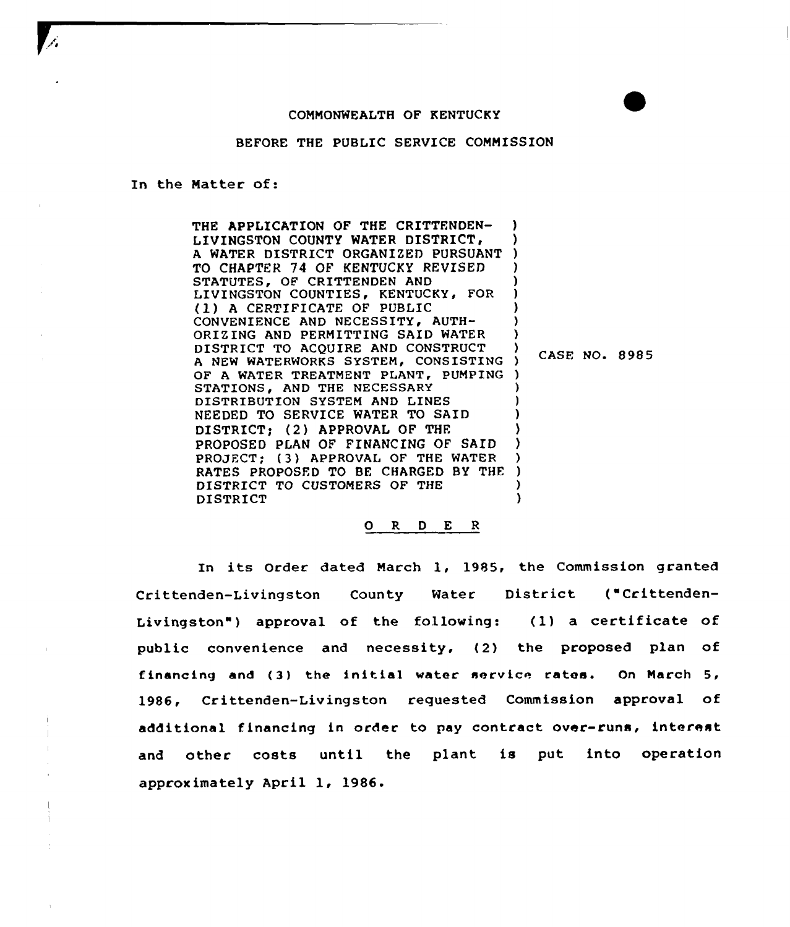## COMMONWEALTH OF KENTUCKY

BEFORE THE PUBLIC SERVICE COMMISSION

In the Matter of:

THE APPLICATION OF THE CRITTENDEN-LIVINGSTON COUNTY WATER DISTRICT, A WATER DISTRICT ORGANIZED PURSUANT TO CHAPTER 74 OF KENTUCKY REVISED STATUTES, OF CRITTENDEN AND EIVINGSTON COUNTIES, KENTUCKY, FOR (1) A CERTIFICATE OF PUBLIC CONVENIENCE AND NECESSITY, AUTH-ORIZING AND PERMITTING SAID WATER DISTRICT TO ACQUIRE AND CONSTRUCT A NEW WATERWORKS SYSTEM, CONSISTING ) OF A WATER TREATMENT PLANT, PUMPING ) STATIONS, AND THE NECESSARY DISTRIBUTION SYSTEM AND LINES NEEDED TO SERVICE WATER TO SAID DISTRICT; (2) APPROVAL OF THE PROPOSED PlAN OF FINANCING OF SAID PROJECT; (3) APPROVAL OF THE WATER RATES PROPOSED TO BE CHARGED BY THE DISTRICT TO CUSTOMERS OF THE DISTRICT ) ) ) ) ) ) ) ) ) ) CASE NO. 8985 ) ) ) ) ) ) ) ) )

0 R <sup>D</sup> E <sup>R</sup>

In its Order dated March 1, 1985, the Commission granted Crittenden-Livingston County Water District ("Crittenden-Livingston") approval of the following: (1) a certificate of public convenience and necessity, (2) the proposed plan of financing and (3) the initial water service rates. On March 5, 1986, Crittenden-Livingston reguested Commission approval of additional financing in order to pay contract over-runs, interest and other costs until the plant is put into operation approximately April 1, 1986.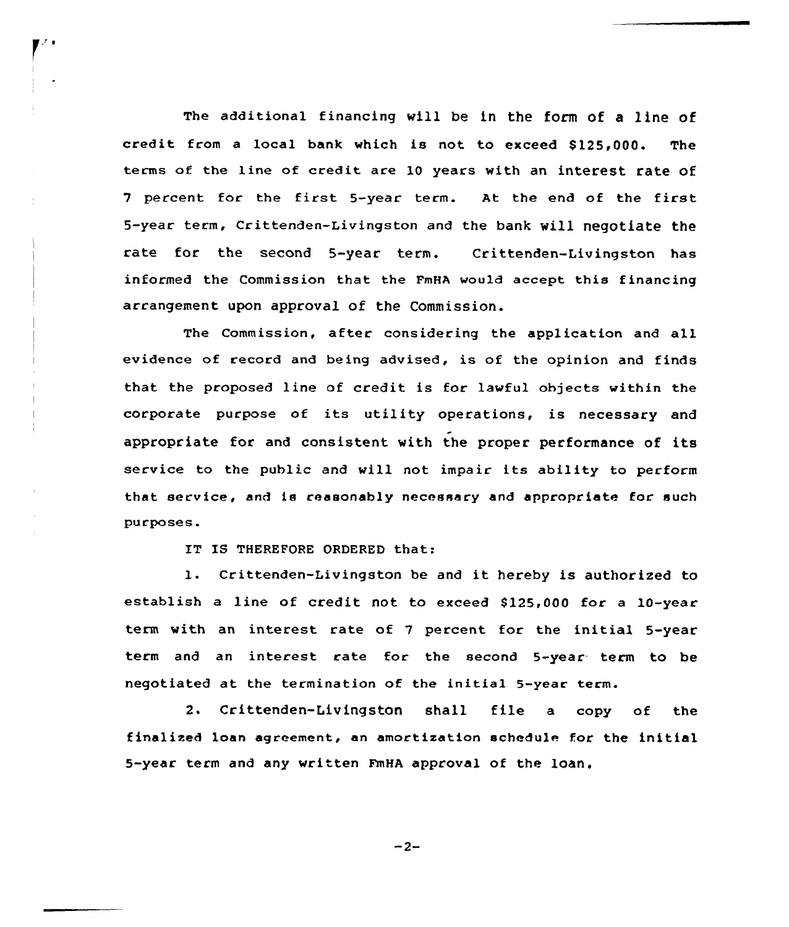The additional financing will be in the form of a line of credit from a local bank which is not to exceed \$125,000. The terms of the line of credit are l0 years with an interest rate of <sup>7</sup> percent for the first 5-year term. At the end of the first 5-year term, Crittenden-Livingston and the bank will negotiate the rate for the second 5-year term. Crittenden-Livingston has informed the Commission that the FmHA would accept this financing arrangement upon approval of the Commission.

The Commission, after considering the application and all evidence of record and being advised, is of the opinion and finds that the proposed line of credit is for lawful objects within the corporate purpose of its utility operations, is necessary and appropriate for and consistent with the proper performance of its service to the public and will not impair its ability to perform that service, and ie reasonably necessary and appropriate for such purposes.

IT IS THEREFORE ORDERED that:

1. Crittenden-Livingston be and it hereby is authorized to establish a line of credit not to exceed \$125,000 for a 10-year term with an interest rate of <sup>7</sup> percent for the initial 5-year term and an interest rate for the second 5-year term to be negotiated at the termination of the initial 5-year term.

2. Crittenden-Livingston shall file <sup>a</sup> copy of the finalized loan agreement, an amortization schedule for the initial 5-year term and any written FmHA approval of the loan.

 $-2-$